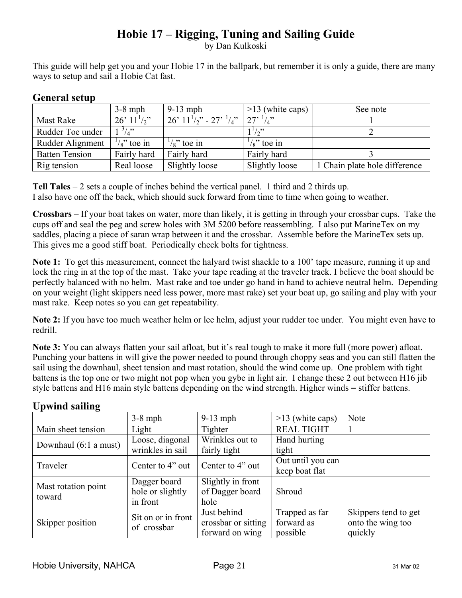## **Hobie 17 – Rigging, Tuning and Sailing Guide**

by Dan Kulkoski

This guide will help get you and your Hobie 17 in the ballpark, but remember it is only a guide, there are many ways to setup and sail a Hobie Cat fast.

|                       | $3-8$ mph            | $9-13$ mph                        | $>13$ (white caps)   | See note                      |
|-----------------------|----------------------|-----------------------------------|----------------------|-------------------------------|
| Mast Rake             | $26'$ $11'$ /2"      | $26'$ $11^{1/2}$ - $27'$ $^{1/2}$ | $27'$ $\frac{1}{4}$  |                               |
| Rudder Toe under      | $^{3}/_{4}$ "        |                                   | $1^{1}/2$            |                               |
| Rudder Alignment      | $\frac{1}{8}$ toe in | $\frac{1}{8}$ toe in              | $\frac{1}{8}$ toe in |                               |
| <b>Batten Tension</b> | Fairly hard          | Fairly hard                       | Fairly hard          |                               |
| Rig tension           | Real loose           | Slightly loose                    | Slightly loose       | 1 Chain plate hole difference |

## **General setup**

**Tell Tales** – 2 sets a couple of inches behind the vertical panel. 1 third and 2 thirds up. I also have one off the back, which should suck forward from time to time when going to weather.

**Crossbars** – If your boat takes on water, more than likely, it is getting in through your crossbar cups. Take the cups off and seal the peg and screw holes with 3M 5200 before reassembling. I also put MarineTex on my saddles, placing a piece of saran wrap between it and the crossbar. Assemble before the MarineTex sets up. This gives me a good stiff boat. Periodically check bolts for tightness.

**Note 1:** To get this measurement, connect the halyard twist shackle to a 100' tape measure, running it up and lock the ring in at the top of the mast. Take your tape reading at the traveler track. I believe the boat should be perfectly balanced with no helm. Mast rake and toe under go hand in hand to achieve neutral helm. Depending on your weight (light skippers need less power, more mast rake) set your boat up, go sailing and play with your mast rake. Keep notes so you can get repeatability.

**Note 2:** If you have too much weather helm or lee helm, adjust your rudder toe under. You might even have to redrill.

**Note 3:** You can always flatten your sail afloat, but it's real tough to make it more full (more power) afloat. Punching your battens in will give the power needed to pound through choppy seas and you can still flatten the sail using the downhaul, sheet tension and mast rotation, should the wind come up. One problem with tight battens is the top one or two might not pop when you gybe in light air. I change these 2 out between H16 jib style battens and H16 main style battens depending on the wind strength. Higher winds = stiffer battens.

|                       | $3-8$ mph          | $9-13$ mph          | $>13$ (white caps) | <b>Note</b>          |
|-----------------------|--------------------|---------------------|--------------------|----------------------|
| Main sheet tension    | Light              | Tighter             | <b>REAL TIGHT</b>  |                      |
| Downhaul (6:1 a must) | Loose, diagonal    | Wrinkles out to     | Hand hurting       |                      |
|                       | wrinkles in sail   | fairly tight        | tight              |                      |
| Traveler              | Center to 4" out   | Center to 4" out    | Out until you can  |                      |
|                       |                    |                     | keep boat flat     |                      |
| Mast rotation point   | Dagger board       | Slightly in front   |                    |                      |
| toward                | hole or slightly   | of Dagger board     | Shroud             |                      |
|                       | in front           | hole                |                    |                      |
|                       | Sit on or in front | Just behind         | Trapped as far     | Skippers tend to get |
| Skipper position      | of crossbar        | crossbar or sitting | forward as         | onto the wing too    |
|                       |                    | forward on wing     | possible           | quickly              |

## **Upwind sailing**